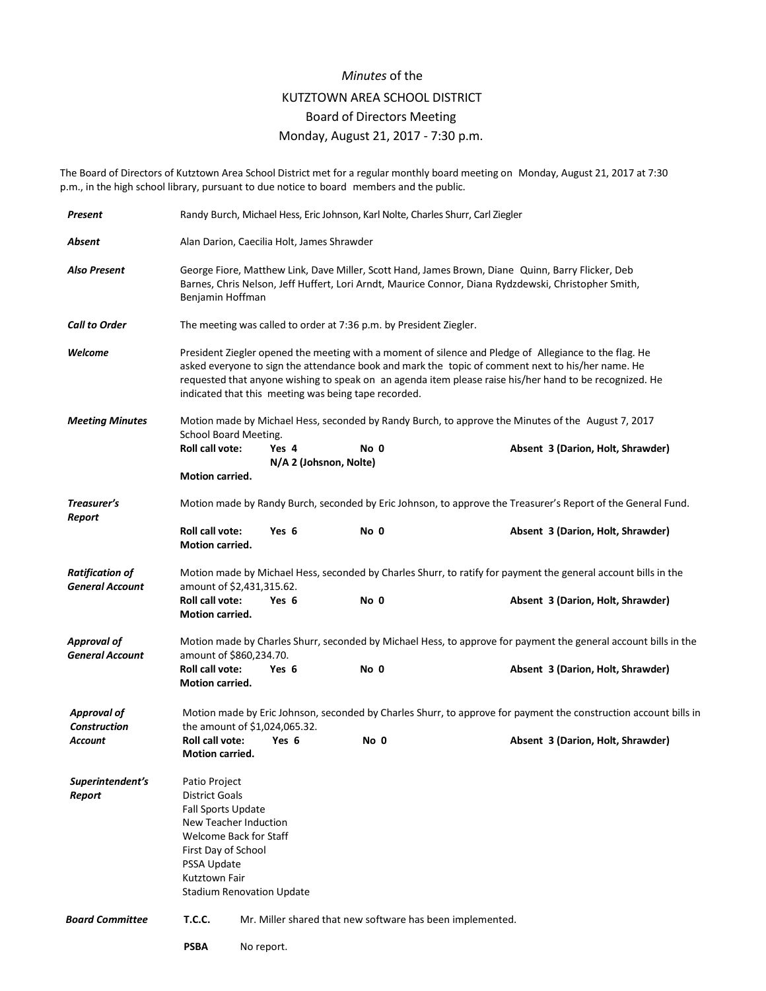## *Minutes* of the KUTZTOWN AREA SCHOOL DISTRICT Board of Directors Meeting Monday, August 21, 2017 - 7:30 p.m.

The Board of Directors of Kutztown Area School District met for a regular monthly board meeting on Monday, August 21, 2017 at 7:30 p.m., in the high school library, pursuant to due notice to board members and the public.

| Present                                          |                                                                                                                                                                                                                                                                                                                                                                                | Randy Burch, Michael Hess, Eric Johnson, Karl Nolte, Charles Shurr, Carl Ziegler                                                                                                                                              |                                                                    |                                   |  |  |  |
|--------------------------------------------------|--------------------------------------------------------------------------------------------------------------------------------------------------------------------------------------------------------------------------------------------------------------------------------------------------------------------------------------------------------------------------------|-------------------------------------------------------------------------------------------------------------------------------------------------------------------------------------------------------------------------------|--------------------------------------------------------------------|-----------------------------------|--|--|--|
| Absent                                           |                                                                                                                                                                                                                                                                                                                                                                                | Alan Darion, Caecilia Holt, James Shrawder                                                                                                                                                                                    |                                                                    |                                   |  |  |  |
| <b>Also Present</b>                              |                                                                                                                                                                                                                                                                                                                                                                                | George Fiore, Matthew Link, Dave Miller, Scott Hand, James Brown, Diane Quinn, Barry Flicker, Deb<br>Barnes, Chris Nelson, Jeff Huffert, Lori Arndt, Maurice Connor, Diana Rydzdewski, Christopher Smith,<br>Benjamin Hoffman |                                                                    |                                   |  |  |  |
| <b>Call to Order</b>                             |                                                                                                                                                                                                                                                                                                                                                                                |                                                                                                                                                                                                                               | The meeting was called to order at 7:36 p.m. by President Ziegler. |                                   |  |  |  |
| Welcome                                          | President Ziegler opened the meeting with a moment of silence and Pledge of Allegiance to the flag. He<br>asked everyone to sign the attendance book and mark the topic of comment next to his/her name. He<br>requested that anyone wishing to speak on an agenda item please raise his/her hand to be recognized. He<br>indicated that this meeting was being tape recorded. |                                                                                                                                                                                                                               |                                                                    |                                   |  |  |  |
| <b>Meeting Minutes</b>                           | Motion made by Michael Hess, seconded by Randy Burch, to approve the Minutes of the August 7, 2017<br><b>School Board Meeting.</b>                                                                                                                                                                                                                                             |                                                                                                                                                                                                                               |                                                                    |                                   |  |  |  |
|                                                  | Roll call vote:                                                                                                                                                                                                                                                                                                                                                                | Yes 4<br>N/A 2 (Johsnon, Nolte)                                                                                                                                                                                               | No 0                                                               | Absent 3 (Darion, Holt, Shrawder) |  |  |  |
|                                                  | <b>Motion carried.</b>                                                                                                                                                                                                                                                                                                                                                         |                                                                                                                                                                                                                               |                                                                    |                                   |  |  |  |
| Treasurer's<br>Report                            |                                                                                                                                                                                                                                                                                                                                                                                | Motion made by Randy Burch, seconded by Eric Johnson, to approve the Treasurer's Report of the General Fund.                                                                                                                  |                                                                    |                                   |  |  |  |
|                                                  | Roll call vote:<br>Motion carried.                                                                                                                                                                                                                                                                                                                                             | Yes 6                                                                                                                                                                                                                         | No 0                                                               | Absent 3 (Darion, Holt, Shrawder) |  |  |  |
| <b>Ratification of</b><br><b>General Account</b> | Motion made by Michael Hess, seconded by Charles Shurr, to ratify for payment the general account bills in the<br>amount of \$2,431,315.62.                                                                                                                                                                                                                                    |                                                                                                                                                                                                                               |                                                                    |                                   |  |  |  |
|                                                  | <b>Roll call vote:</b><br>Motion carried.                                                                                                                                                                                                                                                                                                                                      | Yes 6                                                                                                                                                                                                                         | No 0                                                               | Absent 3 (Darion, Holt, Shrawder) |  |  |  |
| <b>Approval of</b>                               |                                                                                                                                                                                                                                                                                                                                                                                | Motion made by Charles Shurr, seconded by Michael Hess, to approve for payment the general account bills in the<br>amount of \$860,234.70.                                                                                    |                                                                    |                                   |  |  |  |
| <b>General Account</b>                           | <b>Roll call vote:</b><br><b>Motion carried.</b>                                                                                                                                                                                                                                                                                                                               | Yes 6                                                                                                                                                                                                                         | No 0                                                               | Absent 3 (Darion, Holt, Shrawder) |  |  |  |
| <b>Approval of</b><br><b>Construction</b>        | Motion made by Eric Johnson, seconded by Charles Shurr, to approve for payment the construction account bills in<br>the amount of \$1,024,065.32.                                                                                                                                                                                                                              |                                                                                                                                                                                                                               |                                                                    |                                   |  |  |  |
| Account                                          | <b>Roll call vote:</b><br><b>Motion carried.</b>                                                                                                                                                                                                                                                                                                                               | Yes 6                                                                                                                                                                                                                         | No 0                                                               | Absent 3 (Darion, Holt, Shrawder) |  |  |  |
| Superintendent's<br>Report                       | Patio Project<br><b>District Goals</b><br><b>Fall Sports Update</b><br>New Teacher Induction<br>Welcome Back for Staff<br>First Day of School<br>PSSA Update<br>Kutztown Fair<br><b>Stadium Renovation Update</b>                                                                                                                                                              |                                                                                                                                                                                                                               |                                                                    |                                   |  |  |  |
| <b>Board Committee</b>                           | <b>T.C.C.</b>                                                                                                                                                                                                                                                                                                                                                                  | Mr. Miller shared that new software has been implemented.                                                                                                                                                                     |                                                                    |                                   |  |  |  |
|                                                  | <b>PSBA</b>                                                                                                                                                                                                                                                                                                                                                                    | No report.                                                                                                                                                                                                                    |                                                                    |                                   |  |  |  |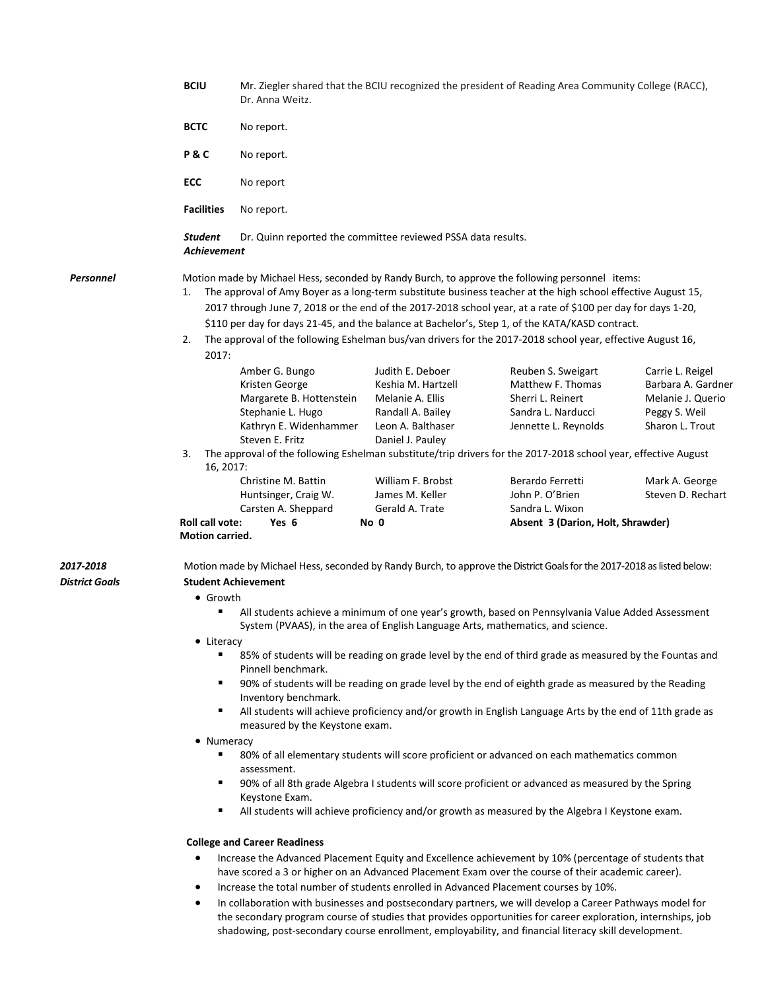|                             | <b>BCIU</b>                                            | Mr. Ziegler shared that the BCIU recognized the president of Reading Area Community College (RACC),<br>Dr. Anna Weitz.                                                                                                                                                                                                                                                                                                                                                                                                                                                                                                                                                                                                                                                                                                                                                                                                                                                                                                                                                                                                                                                                                                                                                                                                                                                                                                                                                                    |                                                                                                                          |                                                                                                                                                                                                                              |                                                                                                 |  |  |  |  |
|-----------------------------|--------------------------------------------------------|-------------------------------------------------------------------------------------------------------------------------------------------------------------------------------------------------------------------------------------------------------------------------------------------------------------------------------------------------------------------------------------------------------------------------------------------------------------------------------------------------------------------------------------------------------------------------------------------------------------------------------------------------------------------------------------------------------------------------------------------------------------------------------------------------------------------------------------------------------------------------------------------------------------------------------------------------------------------------------------------------------------------------------------------------------------------------------------------------------------------------------------------------------------------------------------------------------------------------------------------------------------------------------------------------------------------------------------------------------------------------------------------------------------------------------------------------------------------------------------------|--------------------------------------------------------------------------------------------------------------------------|------------------------------------------------------------------------------------------------------------------------------------------------------------------------------------------------------------------------------|-------------------------------------------------------------------------------------------------|--|--|--|--|
|                             | <b>BCTC</b>                                            | No report.                                                                                                                                                                                                                                                                                                                                                                                                                                                                                                                                                                                                                                                                                                                                                                                                                                                                                                                                                                                                                                                                                                                                                                                                                                                                                                                                                                                                                                                                                |                                                                                                                          |                                                                                                                                                                                                                              |                                                                                                 |  |  |  |  |
|                             | <b>P&amp;C</b>                                         | No report.                                                                                                                                                                                                                                                                                                                                                                                                                                                                                                                                                                                                                                                                                                                                                                                                                                                                                                                                                                                                                                                                                                                                                                                                                                                                                                                                                                                                                                                                                |                                                                                                                          |                                                                                                                                                                                                                              |                                                                                                 |  |  |  |  |
|                             | <b>ECC</b>                                             | No report<br>No report.                                                                                                                                                                                                                                                                                                                                                                                                                                                                                                                                                                                                                                                                                                                                                                                                                                                                                                                                                                                                                                                                                                                                                                                                                                                                                                                                                                                                                                                                   |                                                                                                                          |                                                                                                                                                                                                                              |                                                                                                 |  |  |  |  |
|                             | <b>Facilities</b>                                      |                                                                                                                                                                                                                                                                                                                                                                                                                                                                                                                                                                                                                                                                                                                                                                                                                                                                                                                                                                                                                                                                                                                                                                                                                                                                                                                                                                                                                                                                                           |                                                                                                                          |                                                                                                                                                                                                                              |                                                                                                 |  |  |  |  |
|                             | <b>Student</b>                                         | Dr. Quinn reported the committee reviewed PSSA data results.<br><b>Achievement</b>                                                                                                                                                                                                                                                                                                                                                                                                                                                                                                                                                                                                                                                                                                                                                                                                                                                                                                                                                                                                                                                                                                                                                                                                                                                                                                                                                                                                        |                                                                                                                          |                                                                                                                                                                                                                              |                                                                                                 |  |  |  |  |
| <b>Personnel</b>            | 1.<br>2.                                               | Motion made by Michael Hess, seconded by Randy Burch, to approve the following personnel items:<br>The approval of Amy Boyer as a long-term substitute business teacher at the high school effective August 15,<br>2017 through June 7, 2018 or the end of the 2017-2018 school year, at a rate of \$100 per day for days 1-20,<br>\$110 per day for days 21-45, and the balance at Bachelor's, Step 1, of the KATA/KASD contract.<br>The approval of the following Eshelman bus/van drivers for the 2017-2018 school year, effective August 16,                                                                                                                                                                                                                                                                                                                                                                                                                                                                                                                                                                                                                                                                                                                                                                                                                                                                                                                                          |                                                                                                                          |                                                                                                                                                                                                                              |                                                                                                 |  |  |  |  |
|                             | 2017:<br>3.                                            | Amber G. Bungo<br>Kristen George<br>Margarete B. Hottenstein<br>Stephanie L. Hugo<br>Kathryn E. Widenhammer<br>Steven E. Fritz                                                                                                                                                                                                                                                                                                                                                                                                                                                                                                                                                                                                                                                                                                                                                                                                                                                                                                                                                                                                                                                                                                                                                                                                                                                                                                                                                            | Judith E. Deboer<br>Keshia M. Hartzell<br>Melanie A. Ellis<br>Randall A. Bailey<br>Leon A. Balthaser<br>Daniel J. Pauley | Reuben S. Sweigart<br>Matthew F. Thomas<br>Sherri L. Reinert<br>Sandra L. Narducci<br>Jennette L. Reynolds<br>The approval of the following Eshelman substitute/trip drivers for the 2017-2018 school year, effective August | Carrie L. Reigel<br>Barbara A. Gardner<br>Melanie J. Querio<br>Peggy S. Weil<br>Sharon L. Trout |  |  |  |  |
|                             | 16, 2017:<br>Roll call vote:<br><b>Motion carried.</b> | Christine M. Battin<br>Huntsinger, Craig W.<br>Carsten A. Sheppard<br>Yes 6                                                                                                                                                                                                                                                                                                                                                                                                                                                                                                                                                                                                                                                                                                                                                                                                                                                                                                                                                                                                                                                                                                                                                                                                                                                                                                                                                                                                               | William F. Brobst<br>James M. Keller<br>Gerald A. Trate<br>No 0                                                          | Berardo Ferretti<br>John P. O'Brien<br>Sandra L. Wixon<br>Absent 3 (Darion, Holt, Shrawder)                                                                                                                                  | Mark A. George<br>Steven D. Rechart                                                             |  |  |  |  |
| 2017-2018<br>District Goals | ٠<br>٠<br>٠<br>٠<br>٠<br>٠<br>٠<br>$\bullet$           | Motion made by Michael Hess, seconded by Randy Burch, to approve the District Goals for the 2017-2018 as listed below:<br><b>Student Achievement</b><br>• Growth<br>All students achieve a minimum of one year's growth, based on Pennsylvania Value Added Assessment<br>System (PVAAS), in the area of English Language Arts, mathematics, and science.<br>Literacy<br>85% of students will be reading on grade level by the end of third grade as measured by the Fountas and<br>Pinnell benchmark.<br>90% of students will be reading on grade level by the end of eighth grade as measured by the Reading<br>Inventory benchmark.<br>All students will achieve proficiency and/or growth in English Language Arts by the end of 11th grade as<br>measured by the Keystone exam.<br>• Numeracy<br>80% of all elementary students will score proficient or advanced on each mathematics common<br>assessment.<br>90% of all 8th grade Algebra I students will score proficient or advanced as measured by the Spring<br>Keystone Exam.<br>All students will achieve proficiency and/or growth as measured by the Algebra I Keystone exam.<br><b>College and Career Readiness</b><br>Increase the Advanced Placement Equity and Excellence achievement by 10% (percentage of students that<br>have scored a 3 or higher on an Advanced Placement Exam over the course of their academic career).<br>Increase the total number of students enrolled in Advanced Placement courses by 10%. |                                                                                                                          |                                                                                                                                                                                                                              |                                                                                                 |  |  |  |  |
|                             | $\bullet$                                              | In collaboration with businesses and postsecondary partners, we will develop a Career Pathways model for<br>the secondary program course of studies that provides opportunities for career exploration, internships, job<br>shadowing, post-secondary course enrollment, employability, and financial literacy skill development.                                                                                                                                                                                                                                                                                                                                                                                                                                                                                                                                                                                                                                                                                                                                                                                                                                                                                                                                                                                                                                                                                                                                                         |                                                                                                                          |                                                                                                                                                                                                                              |                                                                                                 |  |  |  |  |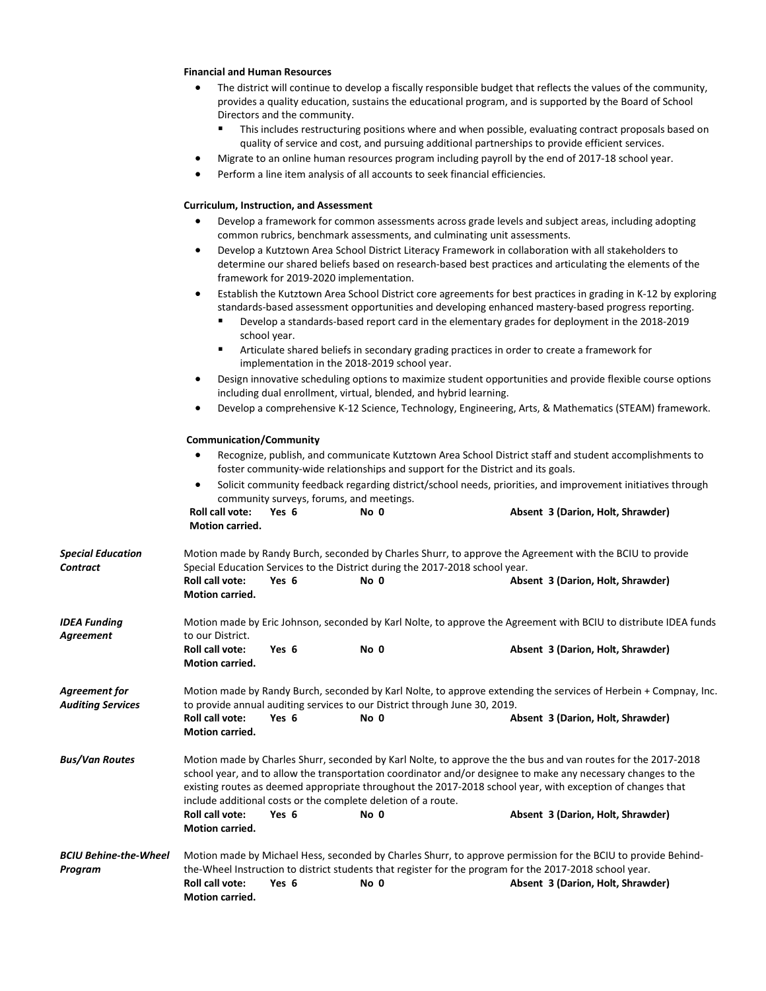## **Financial and Human Resources**

- The district will continue to develop a fiscally responsible budget that reflects the values of the community, provides a quality education, sustains the educational program, and is supported by the Board of School Directors and the community.
	- This includes restructuring positions where and when possible, evaluating contract proposals based on quality of service and cost, and pursuing additional partnerships to provide efficient services.
	- Migrate to an online human resources program including payroll by the end of 2017-18 school year.
- Perform a line item analysis of all accounts to seek financial efficiencies.

## **Curriculum, Instruction, and Assessment**

- Develop a framework for common assessments across grade levels and subject areas, including adopting common rubrics, benchmark assessments, and culminating unit assessments.
- Develop a Kutztown Area School District Literacy Framework in collaboration with all stakeholders to determine our shared beliefs based on research-based best practices and articulating the elements of the framework for 2019-2020 implementation.
- Establish the Kutztown Area School District core agreements for best practices in grading in K-12 by exploring standards-based assessment opportunities and developing enhanced mastery-based progress reporting.
	- Develop a standards-based report card in the elementary grades for deployment in the 2018-2019 school year.
	- Articulate shared beliefs in secondary grading practices in order to create a framework for implementation in the 2018-2019 school year.
- Design innovative scheduling options to maximize student opportunities and provide flexible course options including dual enrollment, virtual, blended, and hybrid learning.
- Develop a comprehensive K-12 Science, Technology, Engineering, Arts, & Mathematics (STEAM) framework.

## **Communication/Community**

|                                           | <b>Communication/Community</b><br>Recognize, publish, and communicate Kutztown Area School District staff and student accomplishments to<br>foster community-wide relationships and support for the District and its goals.                                                                                                                                                                                   |                                          |                                                                                                             |                                   |  |  |
|-------------------------------------------|---------------------------------------------------------------------------------------------------------------------------------------------------------------------------------------------------------------------------------------------------------------------------------------------------------------------------------------------------------------------------------------------------------------|------------------------------------------|-------------------------------------------------------------------------------------------------------------|-----------------------------------|--|--|
|                                           |                                                                                                                                                                                                                                                                                                                                                                                                               |                                          |                                                                                                             |                                   |  |  |
|                                           | $\bullet$                                                                                                                                                                                                                                                                                                                                                                                                     | community surveys, forums, and meetings. | Solicit community feedback regarding district/school needs, priorities, and improvement initiatives through |                                   |  |  |
|                                           | <b>Roll call vote:</b><br><b>Motion carried.</b>                                                                                                                                                                                                                                                                                                                                                              | Yes 6                                    | No 0                                                                                                        | Absent 3 (Darion, Holt, Shrawder) |  |  |
| <b>Special Education</b><br>Contract      | Motion made by Randy Burch, seconded by Charles Shurr, to approve the Agreement with the BCIU to provide<br>Special Education Services to the District during the 2017-2018 school year.                                                                                                                                                                                                                      |                                          |                                                                                                             |                                   |  |  |
|                                           | <b>Roll call vote:</b><br><b>Motion carried.</b>                                                                                                                                                                                                                                                                                                                                                              | Yes 6                                    | No 0                                                                                                        | Absent 3 (Darion, Holt, Shrawder) |  |  |
| <b>IDEA Funding</b><br>Agreement          | Motion made by Eric Johnson, seconded by Karl Nolte, to approve the Agreement with BCIU to distribute IDEA funds<br>to our District.                                                                                                                                                                                                                                                                          |                                          |                                                                                                             |                                   |  |  |
|                                           | <b>Roll call vote:</b><br><b>Motion carried.</b>                                                                                                                                                                                                                                                                                                                                                              | Yes 6                                    | No 0                                                                                                        | Absent 3 (Darion, Holt, Shrawder) |  |  |
| Agreement for<br><b>Auditing Services</b> | Motion made by Randy Burch, seconded by Karl Nolte, to approve extending the services of Herbein + Compnay, Inc.<br>to provide annual auditing services to our District through June 30, 2019.                                                                                                                                                                                                                |                                          |                                                                                                             |                                   |  |  |
|                                           | <b>Roll call vote:</b><br>Motion carried.                                                                                                                                                                                                                                                                                                                                                                     | Yes 6                                    | No 0                                                                                                        | Absent 3 (Darion, Holt, Shrawder) |  |  |
| Bus/Van Routes                            | Motion made by Charles Shurr, seconded by Karl Nolte, to approve the the bus and van routes for the 2017-2018<br>school year, and to allow the transportation coordinator and/or designee to make any necessary changes to the<br>existing routes as deemed appropriate throughout the 2017-2018 school year, with exception of changes that<br>include additional costs or the complete deletion of a route. |                                          |                                                                                                             |                                   |  |  |
|                                           | <b>Roll call vote:</b><br><b>Motion carried.</b>                                                                                                                                                                                                                                                                                                                                                              | Yes 6                                    | No 0                                                                                                        | Absent 3 (Darion, Holt, Shrawder) |  |  |
| BCIU Behine-the-Wheel<br>Program          | Motion made by Michael Hess, seconded by Charles Shurr, to approve permission for the BCIU to provide Behind-<br>the-Wheel Instruction to district students that register for the program for the 2017-2018 school year.                                                                                                                                                                                      |                                          |                                                                                                             |                                   |  |  |
|                                           | <b>Roll call vote:</b><br><b>Motion carried.</b>                                                                                                                                                                                                                                                                                                                                                              | Yes 6                                    | No 0                                                                                                        | Absent 3 (Darion, Holt, Shrawder) |  |  |